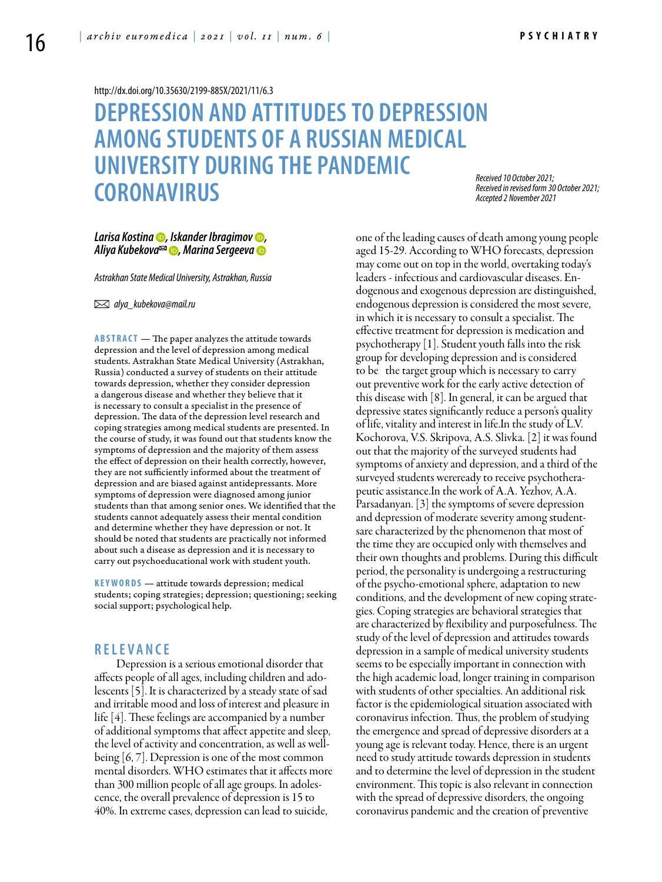<http://dx.doi.org/10.35630/2199-885X/2021/11/6.3>

# **DEPRESSION AND ATTITUDESTO DEPRESSION AMONG STUDENTS OF A RUSSIAN MEDICAL UNIVERSITY DURING THE PANDEMIC CORONAVIRUS**

*Received 10 October 2021; Received in revised form 30 October 2021; Accepted 2 November 2021*

## *[Larisa Kostina](https://orcid.org/0000-0002-5283-4299) , [Iskander Ibragimov](https://orcid.org/0000-0003-3000-1007) , [Aliya Kubekova](https://orcid.org/0000-0002-1647-8039) , [Marina Sergeeva](https://orcid.org/0000-0002-8549-6353)*

*Astrakhan State Medical University, Astrakhan, Russia* 

 *alya\_kubekova@mail.ru*

**ABSTRACT** — The paper analyzes the attitude towards depression and the level of depression among medical students. Astrakhan State Medical University (Astrakhan, Russia) conducted a survey of students on their attitude towards depression, whether they consider depression a dangerous disease and whether they believe that it is necessary to consult a specialist in the presence of depression. The data of the depression level research and coping strategies among medical students are presented. In the course of study, it was found out that students know the symptoms of depression and the majority of them assess the effect of depression on their health correctly, however, they are not sufficiently informed about the treatment of depression and are biased against antidepressants. More symptoms of depression were diagnosed among junior students than that among senior ones. We identified that the students cannot adequately assess their mental condition and determine whether they have depression or not. It should be noted that students are practically not informed about such a disease as depression and it is necessary to carry out psychoeducational work with student youth.

KEYWORDS — attitude towards depression; medical students; coping strategies; depression; questioning; seeking social support; psychological help.

## **R e l e v a n ce**

Depression is a serious emotional disorder that affects people of all ages, including children and adolescents [5]. It is characterized by a steady state of sad and irritable mood and loss of interest and pleasure in life [4]. These feelings are accompanied by a number of additional symptoms that affect appetite and sleep, the level of activity and concentration, as well as wellbeing [6, 7]. Depression is one of the most common mental disorders. WHO estimates that it affects more than 300 million people of all age groups. In adolescence, the overall prevalence of depression is 15 to 40%. In extreme cases, depression can lead to suicide,

one of the leading causes of death among young people aged 15-29. According to WHO forecasts, depression may come out on top in the world, overtaking today's leaders - infectious and cardiovascular diseases. Endogenous and exogenous depression are distinguished, endogenous depression is considered the most severe, in which it is necessary to consult a specialist. The effective treatment for depression is medication and psychotherapy [1]. Student youth falls into the risk group for developing depression and is considered to be the target group which is necessary to carry out preventive work for the early active detection of this disease with [8]. In general, it can be argued that depressive states significantly reduce a person's quality of life, vitality and interest in life.In the study of L.V. Kochorova, V.S. Skripova, A.S. Slivka. [2] it was found out that the majority of the surveyed students had symptoms of anxiety and depression, and a third of the surveyed students wereready to receive psychotherapeutic assistance.In the work of A.A. Yezhov, A.A. Parsadanyan. [3] the symptoms of severe depression and depression of moderate severity among studentsare characterized by the phenomenon that most of the time they are occupied only with themselves and their own thoughts and problems. During this difficult period, the personality is undergoing a restructuring of the psycho-emotional sphere, adaptation to new conditions, and the development of new coping strategies. Coping strategies are behavioral strategies that are characterized by flexibility and purposefulness. The study of the level of depression and attitudes towards depression in a sample of medical university students seems to be especially important in connection with the high academic load, longer training in comparison with students of other specialties. An additional risk factor is the epidemiological situation associated with coronavirus infection. Thus, the problem of studying the emergence and spread of depressive disorders at a young age is relevant today. Hence, there is an urgent need to study attitude towards depression in students and to determine the level of depression in the student environment. This topic is also relevant in connection with the spread of depressive disorders, the ongoing coronavirus pandemic and the creation of preventive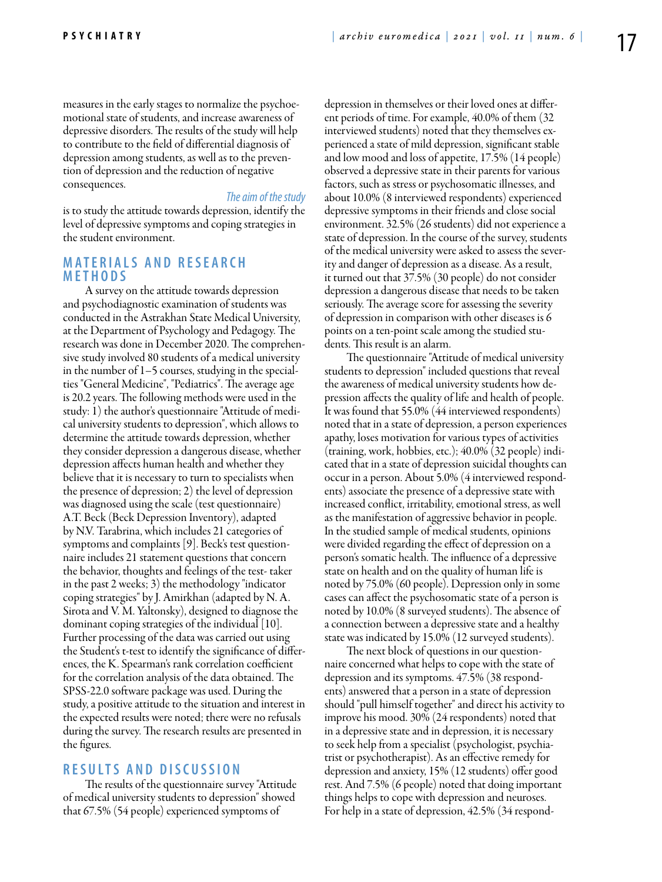measures in the early stages to normalize the psychoemotional state of students, and increase awareness of depressive disorders. The results of the study will help to contribute to the field of differential diagnosis of depression among students, as well as to the prevention of depression and the reduction of negative consequences.

#### *The aim of the study*

is to study the attitude towards depression, identify the level of depressive symptoms and coping strategies in the student environment.

## **M a t e r i a l s a n d r e s e a r ch me t h o d s**

A survey on the attitude towards depression and psychodiagnostic examination of students was conducted in the Astrakhan State Medical University, at the Department of Psychology and Pedagogy. The research was done in December 2020. The comprehensive study involved 80 students of a medical university in the number of 1–5 courses, studying in the specialties "General Medicine", "Pediatrics". The average age is 20.2 years. The following methods were used in the study: 1) the author's questionnaire "Attitude of medical university students to depression", which allows to determine the attitude towards depression, whether they consider depression a dangerous disease, whether depression affects human health and whether they believe that it is necessary to turn to specialists when the presence of depression; 2) the level of depression was diagnosed using the scale (test questionnaire) A.T. Beck (Beck Depression Inventory), adapted by N.V. Tarabrina, which includes 21 categories of symptoms and complaints [9]. Beck's test questionnaire includes 21 statement questions that concern the behavior, thoughts and feelings of the test- taker in the past 2 weeks; 3) the methodology "indicator coping strategies" by J. Amirkhan (adapted by N. A. Sirota and V. M. Yaltonsky), designed to diagnose the dominant coping strategies of the individual [10]. Further processing of the data was carried out using the Student's t-test to identify the significance of differences, the K. Spearman's rank correlation coefficient for the correlation analysis of the data obtained. The SPSS-22.0 software package was used. During the study, a positive attitude to the situation and interest in the expected results were noted; there were no refusals during the survey. The research results are presented in the figures.

### **R e s u l t s a n d D i scu s s i o n**

The results of the questionnaire survey "Attitude of medical university students to depression" showed that 67.5% (54 people) experienced symptoms of

depression in themselves or their loved ones at different periods of time. For example, 40.0% of them (32 interviewed students) noted that they themselves experienced a state of mild depression, significant stable and low mood and loss of appetite, 17.5% (14 people) observed a depressive state in their parents for various factors, such as stress or psychosomatic illnesses, and about 10.0% (8 interviewed respondents) experienced depressive symptoms in their friends and close social environment. 32.5% (26 students) did not experience a state of depression. In the course of the survey, students of the medical university were asked to assess the severity and danger of depression as a disease. As a result, it turned out that 37.5% (30 people) do not consider depression a dangerous disease that needs to be taken seriously. The average score for assessing the severity of depression in comparison with other diseases is 6 points on a ten-point scale among the studied students. This result is an alarm.

The questionnaire "Attitude of medical university students to depression" included questions that reveal the awareness of medical university students how depression affects the quality of life and health of people. It was found that 55.0% (44 interviewed respondents) noted that in a state of depression, a person experiences apathy, loses motivation for various types of activities (training, work, hobbies, etc.); 40.0% (32 people) indicated that in a state of depression suicidal thoughts can occur in a person. About 5.0% (4 interviewed respondents) associate the presence of a depressive state with increased conflict, irritability, emotional stress, as well as the manifestation of aggressive behavior in people. In the studied sample of medical students, opinions were divided regarding the effect of depression on a person's somatic health. The influence of a depressive state on health and on the quality of human life is noted by 75.0% (60 people). Depression only in some cases can affect the psychosomatic state of a person is noted by 10.0% (8 surveyed students). The absence of a connection between a depressive state and a healthy state was indicated by 15.0% (12 surveyed students).

The next block of questions in our questionnaire concerned what helps to cope with the state of depression and its symptoms. 47.5% (38 respondents) answered that a person in a state of depression should "pull himself together" and direct his activity to improve his mood. 30% (24 respondents) noted that in a depressive state and in depression, it is necessary to seek help from a specialist (psychologist, psychiatrist or psychotherapist). As an effective remedy for depression and anxiety, 15% (12 students) offer good rest. And 7.5% (6 people) noted that doing important things helps to cope with depression and neuroses. For help in a state of depression, 42.5% (34 respond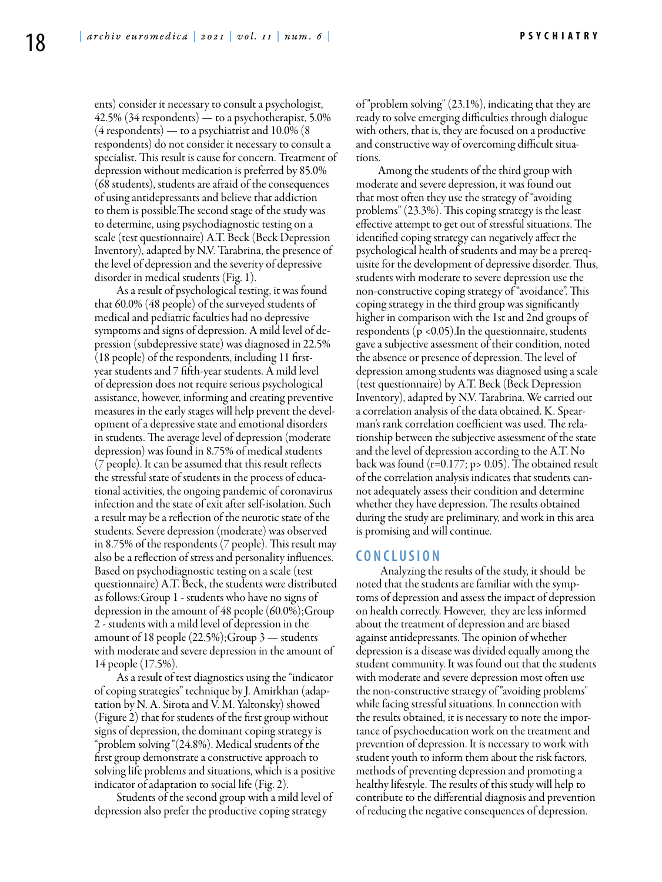ents) consider it necessary to consult a psychologist, 42.5% (34 respondents) — to a psychotherapist, 5.0% (4 respondents) — to a psychiatrist and 10.0% (8 respondents) do not consider it necessary to consult a specialist. This result is cause for concern. Treatment of depression without medication is preferred by 85.0% (68 students), students are afraid of the consequences of using antidepressants and believe that addiction to them is possible.The second stage of the study was to determine, using psychodiagnostic testing on a scale (test questionnaire) A.T. Beck (Beck Depression Inventory), adapted by N.V. Tarabrina, the presence of the level of depression and the severity of depressive disorder in medical students (Fig. 1).

As a result of psychological testing, it was found that 60.0% (48 people) of the surveyed students of medical and pediatric faculties had no depressive symptoms and signs of depression. A mild level of depression (subdepressive state) was diagnosed in 22.5% (18 people) of the respondents, including 11 firstyear students and 7 fifth-year students. A mild level of depression does not require serious psychological assistance, however, informing and creating preventive measures in the early stages will help prevent the development of a depressive state and emotional disorders in students. The average level of depression (moderate depression) was found in 8.75% of medical students (7 people). It can be assumed that this result reflects the stressful state of students in the process of educational activities, the ongoing pandemic of coronavirus infection and the state of exit after self-isolation. Such a result may be a reflection of the neurotic state of the students. Severe depression (moderate) was observed in 8.75% of the respondents (7 people). This result may also be a reflection of stress and personality influences. Based on psychodiagnostic testing on a scale (test questionnaire) A.T. Beck, the students were distributed as follows:Group 1 - students who have no signs of depression in the amount of 48 people (60.0%);Group 2 - students with a mild level of depression in the amount of 18 people (22.5%);Group 3 — students with moderate and severe depression in the amount of 14 people (17.5%).

As a result of test diagnostics using the "indicator of coping strategies" technique by J. Amirkhan (adaptation by N. A. Sirota and V. M. Yaltonsky) showed (Figure 2) that for students of the first group without signs of depression, the dominant coping strategy is "problem solving "(24.8%). Medical students of the first group demonstrate a constructive approach to solving life problems and situations, which is a positive indicator of adaptation to social life (Fig. 2).

Students of the second group with a mild level of depression also prefer the productive coping strategy

of "problem solving" (23.1%), indicating that they are ready to solve emerging difficulties through dialogue with others, that is, they are focused on a productive and constructive way of overcoming difficult situations.

Among the students of the third group with moderate and severe depression, it was found out that most often they use the strategy of "avoiding problems" (23.3%). This coping strategy is the least effective attempt to get out of stressful situations. The identified coping strategy can negatively affect the psychological health of students and may be a prerequisite for the development of depressive disorder. Thus, students with moderate to severe depression use the non-constructive coping strategy of "avoidance". This coping strategy in the third group was significantly higher in comparison with the 1st and 2nd groups of respondents ( $p$  <0.05). In the questionnaire, students gave a subjective assessment of their condition, noted the absence or presence of depression. The level of depression among students was diagnosed using a scale (test questionnaire) by A.T. Beck (Beck Depression Inventory), adapted by N.V. Tarabrina. We carried out a correlation analysis of the data obtained. K. Spearman's rank correlation coefficient was used. The relationship between the subjective assessment of the state and the level of depression according to the A.T. No back was found (r=0.177; p> 0.05). The obtained result of the correlation analysis indicates that students cannot adequately assess their condition and determine whether they have depression. The results obtained during the study are preliminary, and work in this area is promising and will continue.

#### **C o n cl u s i o n**

 Analyzing the results of the study, it should be noted that the students are familiar with the symptoms of depression and assess the impact of depression on health correctly. However, they are less informed about the treatment of depression and are biased against antidepressants. The opinion of whether depression is a disease was divided equally among the student community. It was found out that the students with moderate and severe depression most often use the non-constructive strategy of "avoiding problems" while facing stressful situations. In connection with the results obtained, it is necessary to note the importance of psychoeducation work on the treatment and prevention of depression. It is necessary to work with student youth to inform them about the risk factors, methods of preventing depression and promoting a healthy lifestyle. The results of this study will help to contribute to the differential diagnosis and prevention of reducing the negative consequences of depression.